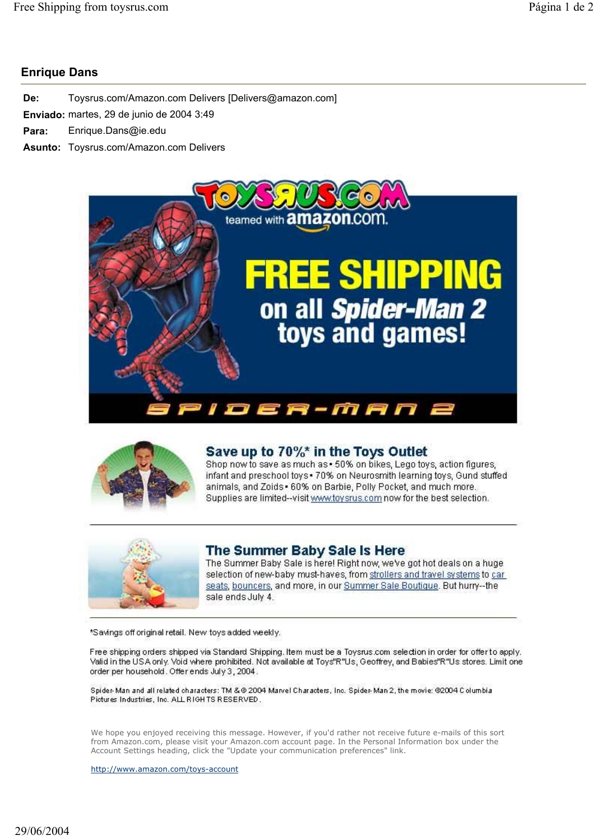## **Enrique Dans**

| De: | Toysrus.com/Amazon.com Delivers [Delivers@amazon.com] |
|-----|-------------------------------------------------------|
|     | Enviado: martes, 29 de junio de 2004 3:49             |
|     | Para: Enrique.Dans@ie.edu                             |
|     | Asunto: Toysrus.com/Amazon.com Delivers               |





## Save up to 70%\* in the Toys Outlet

Shop now to save as much as - 50% on bikes, Lego toys, action figures, infant and preschool toys . 70% on Neurosmith learning toys, Gund stuffed animals, and Zoids . 60% on Barbie, Polly Pocket, and much more. Supplies are limited--visit www.toysrus.com now for the best selection.



## The Summer Baby Sale Is Here

The Summer Baby Sale is here! Right now, we've got hot deals on a huge selection of new-baby must-haves, from strollers and travel systems to car seats, bouncers, and more, in our Summer Sale Boutique. But hurry--the sale ends July 4.

\*Savings off original retail. New toys added weekly.

Free shipping orders shipped via Standard Shipping, Item must be a Toysrus.com selection in order for offer to apply. Valid in the USA only. Void where prohibited. Not available at Toys"R"Us, Geoffrey, and Babies"R"Us stores. Limit one order per household. Offer ends July 3, 2004.

Spider-Man and all related characters: TM &@ 2004 Marvel Characters, Inc. Spider-Man 2, the movie: @2004 Columbia Pictures Industries, Inc. ALL RIGHTS RESERVED.

We hope you enjoyed receiving this message. However, if you'd rather not receive future e-mails of this sort from Amazon.com, please visit your Amazon.com account page. In the Personal Information box under the Account Settings heading, click the "Update your communication preferences" link.

http://www.amazon.com/toys-account